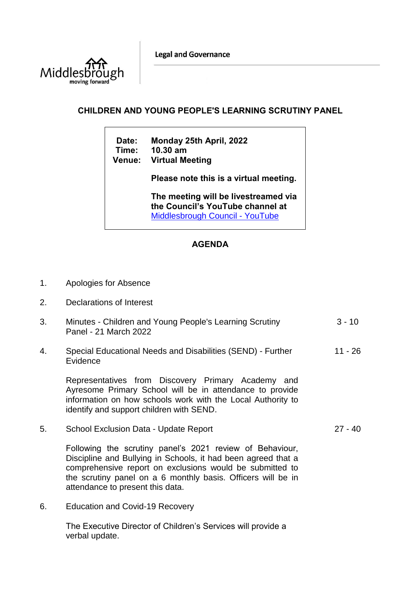**Legal and Governance** 



## **CHILDREN AND YOUNG PEOPLE'S LEARNING SCRUTINY PANEL**

**Date: Monday 25th April, 2022 Time: 10.30 am Venue: Virtual Meeting Please note this is a virtual meeting.** 

> **The meeting will be livestreamed via the Council's YouTube channel at**  [Middlesbrough Council -](https://www.youtube.com/user/middlesbroughcouncil) YouTube

## **AGENDA**

- 1. Apologies for Absence
- 2. Declarations of Interest

| Minutes - Children and Young People's Learning Scrutiny | $3 - 10$ |
|---------------------------------------------------------|----------|
| Panel - 21 March 2022                                   |          |

4. Special Educational Needs and Disabilities (SEND) - Further **Evidence** 11 - 26

Representatives from Discovery Primary Academy and Ayresome Primary School will be in attendance to provide information on how schools work with the Local Authority to identify and support children with SEND.

5. School Exclusion Data - Update Report 27 - 40

Following the scrutiny panel's 2021 review of Behaviour, Discipline and Bullying in Schools, it had been agreed that a comprehensive report on exclusions would be submitted to the scrutiny panel on a 6 monthly basis. Officers will be in attendance to present this data.

6. Education and Covid-19 Recovery

The Executive Director of Children's Services will provide a verbal update.